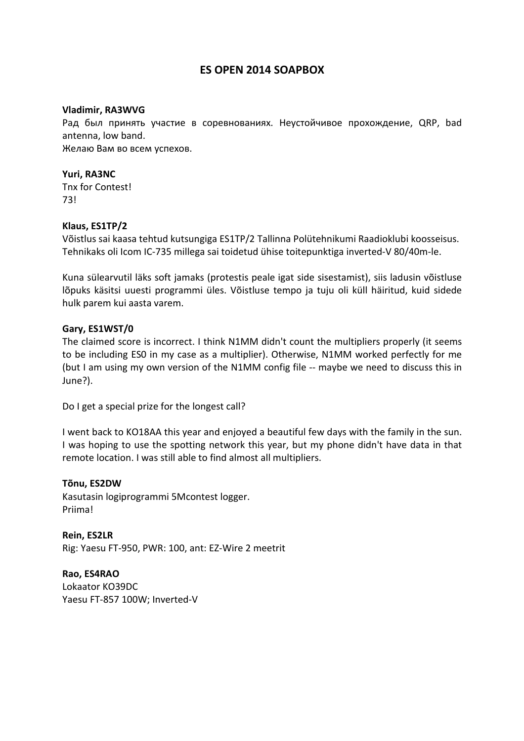# **ES OPEN 2014 SOAPBOX**

### **Vladimir, RA3WVG**

Рад был принять участие в соревнованиях. Неустойчивое прохождение, QRP, bad antenna, low band. Желаю Вам во всем успехов.

**Yuri, RA3NC** 

Tnx for Contest! 73!

### **Klaus, ES1TP/2**

Võistlus sai kaasa tehtud kutsungiga ES1TP/2 Tallinna Polütehnikumi Raadioklubi koosseisus. Tehnikaks oli Icom IC-735 millega sai toidetud ühise toitepunktiga inverted-V 80/40m-le.

Kuna sülearvutil läks soft jamaks (protestis peale igat side sisestamist), siis ladusin võistluse lõpuks käsitsi uuesti programmi üles. Võistluse tempo ja tuju oli küll häiritud, kuid sidede hulk parem kui aasta varem.

### **Gary, ES1WST/0**

The claimed score is incorrect. I think N1MM didn't count the multipliers properly (it seems to be including ES0 in my case as a multiplier). Otherwise, N1MM worked perfectly for me (but I am using my own version of the N1MM config file -- maybe we need to discuss this in June?).

Do I get a special prize for the longest call?

I went back to KO18AA this year and enjoyed a beautiful few days with the family in the sun. I was hoping to use the spotting network this year, but my phone didn't have data in that remote location. I was still able to find almost all multipliers.

#### **Tõnu, ES2DW**

Kasutasin logiprogrammi 5Mcontest logger. Priima!

**Rein, ES2LR**  Rig: Yaesu FT-950, PWR: 100, ant: EZ-Wire 2 meetrit

**Rao, ES4RAO**  Lokaator KO39DC Yaesu FT-857 100W; Inverted-V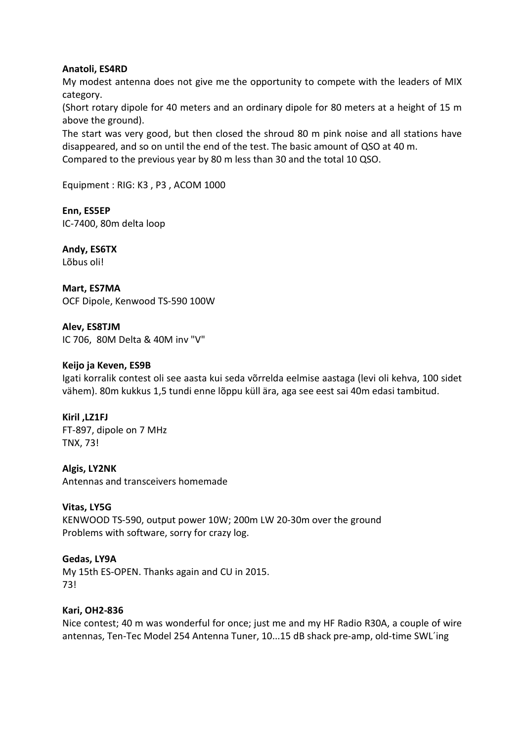### **Anatoli, ES4RD**

My modest antenna does not give me the opportunity to compete with the leaders of MIX category.

(Short rotary dipole for 40 meters and an ordinary dipole for 80 meters at a height of 15 m above the ground).

The start was very good, but then closed the shroud 80 m pink noise and all stations have disappeared, and so on until the end of the test. The basic amount of QSO at 40 m. Compared to the previous year by 80 m less than 30 and the total 10 QSO.

Equipment : RIG: K3 , P3 , ACOM 1000

**Enn, ES5EP**  IC-7400, 80m delta loop

**Andy, ES6TX**  Lõbus oli!

**Mart, ES7MA**  OCF Dipole, Kenwood TS-590 100W

**Alev, ES8TJM**  IC 706, 80M Delta & 40M inv "V"

# **Keijo ja Keven, ES9B**

Igati korralik contest oli see aasta kui seda võrrelda eelmise aastaga (levi oli kehva, 100 sidet vähem). 80m kukkus 1,5 tundi enne lõppu küll ära, aga see eest sai 40m edasi tambitud.

**Kiril ,LZ1FJ**  FT-897, dipole on 7 MHz TNX, 73!

**Algis, LY2NK**  Antennas and transceivers homemade

# **Vitas, LY5G**

KENWOOD TS-590, output power 10W; 200m LW 20-30m over the ground Problems with software, sorry for crazy log.

**Gedas, LY9A** 

My 15th ES-OPEN. Thanks again and CU in 2015. 73!

### **Kari, OH2-836**

Nice contest; 40 m was wonderful for once; just me and my HF Radio R30A, a couple of wire antennas, Ten-Tec Model 254 Antenna Tuner, 10...15 dB shack pre-amp, old-time SWL´ing